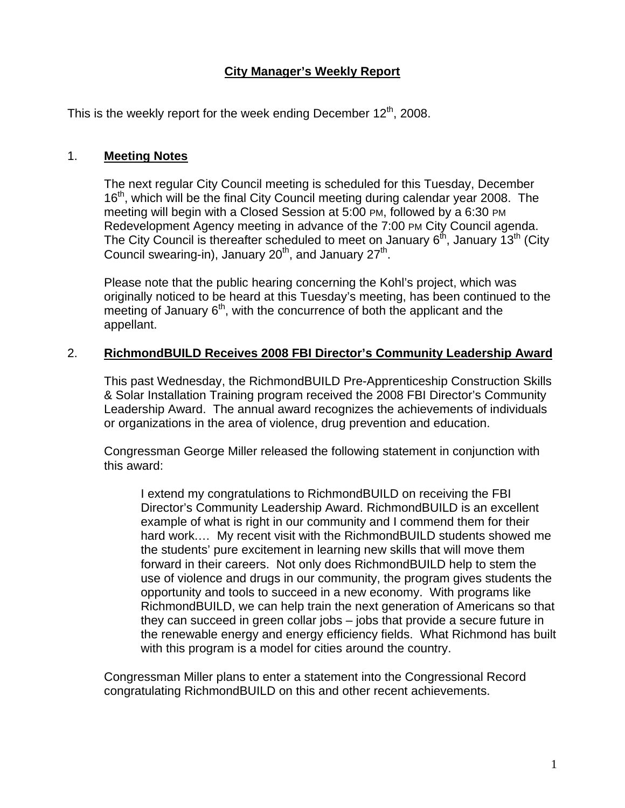# **City Manager's Weekly Report**

This is the weekly report for the week ending December  $12<sup>th</sup>$ , 2008.

# 1. **Meeting Notes**

The next regular City Council meeting is scheduled for this Tuesday, December 16<sup>th</sup>, which will be the final City Council meeting during calendar year 2008. The meeting will begin with a Closed Session at 5:00 PM, followed by a 6:30 PM Redevelopment Agency meeting in advance of the 7:00 PM City Council agenda. The City Council is thereafter scheduled to meet on January  $6<sup>th</sup>$ , January  $13<sup>th</sup>$  (City Council swearing-in), January  $20<sup>th</sup>$ , and January  $27<sup>th</sup>$ .

Please note that the public hearing concerning the Kohl's project, which was originally noticed to be heard at this Tuesday's meeting, has been continued to the meeting of January  $6<sup>th</sup>$ , with the concurrence of both the applicant and the appellant.

# 2. **RichmondBUILD Receives 2008 FBI Director's Community Leadership Award**

This past Wednesday, the RichmondBUILD Pre-Apprenticeship Construction Skills & Solar Installation Training program received the 2008 FBI Director's Community Leadership Award. The annual award recognizes the achievements of individuals or organizations in the area of violence, drug prevention and education.

Congressman George Miller released the following statement in conjunction with this award:

I extend my congratulations to RichmondBUILD on receiving the FBI Director's Community Leadership Award. RichmondBUILD is an excellent example of what is right in our community and I commend them for their hard work.… My recent visit with the RichmondBUILD students showed me the students' pure excitement in learning new skills that will move them forward in their careers. Not only does RichmondBUILD help to stem the use of violence and drugs in our community, the program gives students the opportunity and tools to succeed in a new economy. With programs like RichmondBUILD, we can help train the next generation of Americans so that they can succeed in green collar jobs – jobs that provide a secure future in the renewable energy and energy efficiency fields. What Richmond has built with this program is a model for cities around the country.

Congressman Miller plans to enter a statement into the Congressional Record congratulating RichmondBUILD on this and other recent achievements.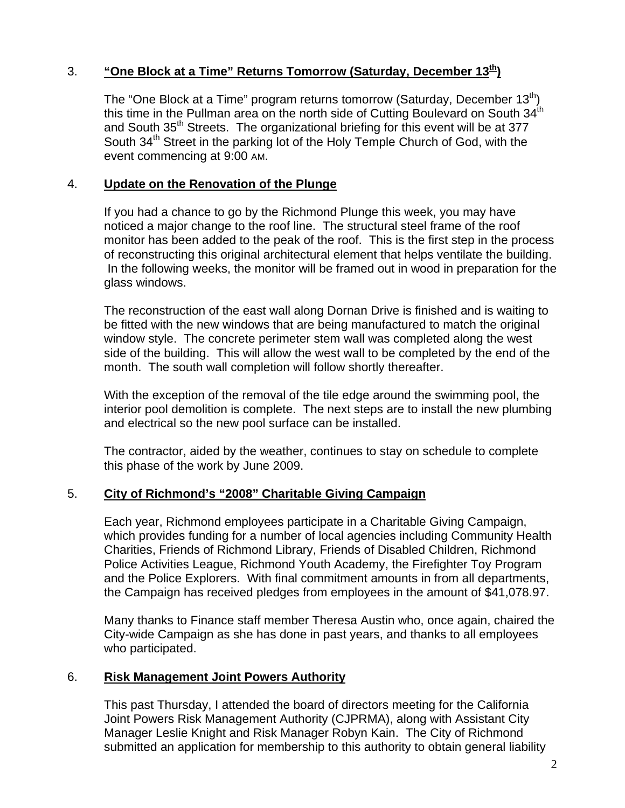# 3. **"One Block at a Time" Returns Tomorrow (Saturday, December 13th)**

The "One Block at a Time" program returns tomorrow (Saturday, December  $13<sup>th</sup>$ ) this time in the Pullman area on the north side of Cutting Boulevard on South  $34<sup>th</sup>$ and South 35<sup>th</sup> Streets. The organizational briefing for this event will be at 377 South 34<sup>th</sup> Street in the parking lot of the Holy Temple Church of God, with the event commencing at 9:00 AM.

## 4. **Update on the Renovation of the Plunge**

If you had a chance to go by the Richmond Plunge this week, you may have noticed a major change to the roof line. The structural steel frame of the roof monitor has been added to the peak of the roof. This is the first step in the process of reconstructing this original architectural element that helps ventilate the building. In the following weeks, the monitor will be framed out in wood in preparation for the glass windows.

The reconstruction of the east wall along Dornan Drive is finished and is waiting to be fitted with the new windows that are being manufactured to match the original window style. The concrete perimeter stem wall was completed along the west side of the building. This will allow the west wall to be completed by the end of the month. The south wall completion will follow shortly thereafter.

With the exception of the removal of the tile edge around the swimming pool, the interior pool demolition is complete. The next steps are to install the new plumbing and electrical so the new pool surface can be installed.

The contractor, aided by the weather, continues to stay on schedule to complete this phase of the work by June 2009.

### 5. **City of Richmond's "2008" Charitable Giving Campaign**

Each year, Richmond employees participate in a Charitable Giving Campaign, which provides funding for a number of local agencies including Community Health Charities, Friends of Richmond Library, Friends of Disabled Children, Richmond Police Activities League, Richmond Youth Academy, the Firefighter Toy Program and the Police Explorers. With final commitment amounts in from all departments, the Campaign has received pledges from employees in the amount of \$41,078.97.

Many thanks to Finance staff member Theresa Austin who, once again, chaired the City-wide Campaign as she has done in past years, and thanks to all employees who participated.

### 6. **Risk Management Joint Powers Authority**

This past Thursday, I attended the board of directors meeting for the California Joint Powers Risk Management Authority (CJPRMA), along with Assistant City Manager Leslie Knight and Risk Manager Robyn Kain. The City of Richmond submitted an application for membership to this authority to obtain general liability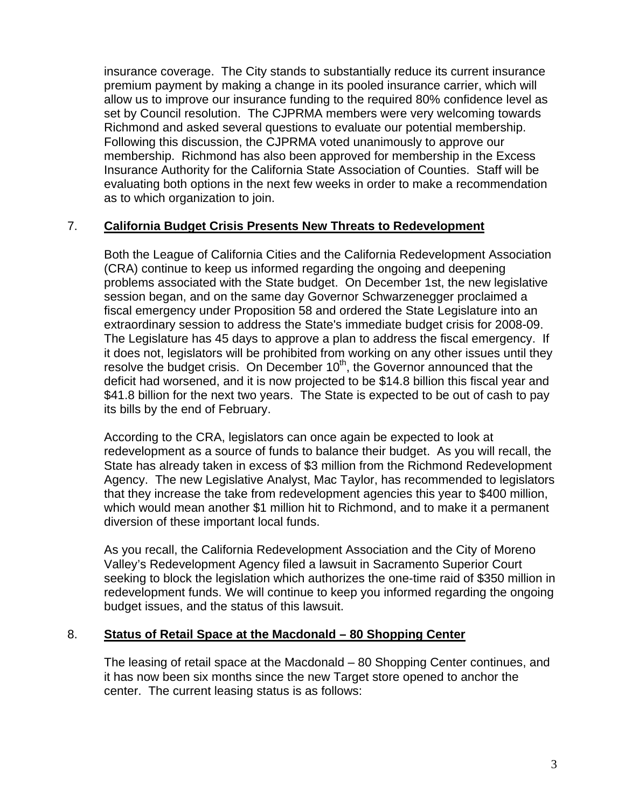insurance coverage. The City stands to substantially reduce its current insurance premium payment by making a change in its pooled insurance carrier, which will allow us to improve our insurance funding to the required 80% confidence level as set by Council resolution. The CJPRMA members were very welcoming towards Richmond and asked several questions to evaluate our potential membership. Following this discussion, the CJPRMA voted unanimously to approve our membership. Richmond has also been approved for membership in the Excess Insurance Authority for the California State Association of Counties. Staff will be evaluating both options in the next few weeks in order to make a recommendation as to which organization to join.

# 7. **California Budget Crisis Presents New Threats to Redevelopment**

Both the League of California Cities and the California Redevelopment Association (CRA) continue to keep us informed regarding the ongoing and deepening problems associated with the State budget. On December 1st, the new legislative session began, and on the same day Governor Schwarzenegger proclaimed a fiscal emergency under Proposition 58 and ordered the State Legislature into an extraordinary session to address the State's immediate budget crisis for 2008-09. The Legislature has 45 days to approve a plan to address the fiscal emergency. If it does not, legislators will be prohibited from working on any other issues until they resolve the budget crisis. On December  $10<sup>th</sup>$ , the Governor announced that the deficit had worsened, and it is now projected to be \$14.8 billion this fiscal year and \$41.8 billion for the next two years. The State is expected to be out of cash to pay its bills by the end of February.

According to the CRA, legislators can once again be expected to look at redevelopment as a source of funds to balance their budget. As you will recall, the State has already taken in excess of \$3 million from the Richmond Redevelopment Agency. The new Legislative Analyst, Mac Taylor, has recommended to legislators that they increase the take from redevelopment agencies this year to \$400 million, which would mean another \$1 million hit to Richmond, and to make it a permanent diversion of these important local funds.

As you recall, the California Redevelopment Association and the City of Moreno Valley's Redevelopment Agency filed a lawsuit in Sacramento Superior Court seeking to block the legislation which authorizes the one-time raid of \$350 million in redevelopment funds. We will continue to keep you informed regarding the ongoing budget issues, and the status of this lawsuit.

### 8. **Status of Retail Space at the Macdonald – 80 Shopping Center**

The leasing of retail space at the Macdonald – 80 Shopping Center continues, and it has now been six months since the new Target store opened to anchor the center. The current leasing status is as follows: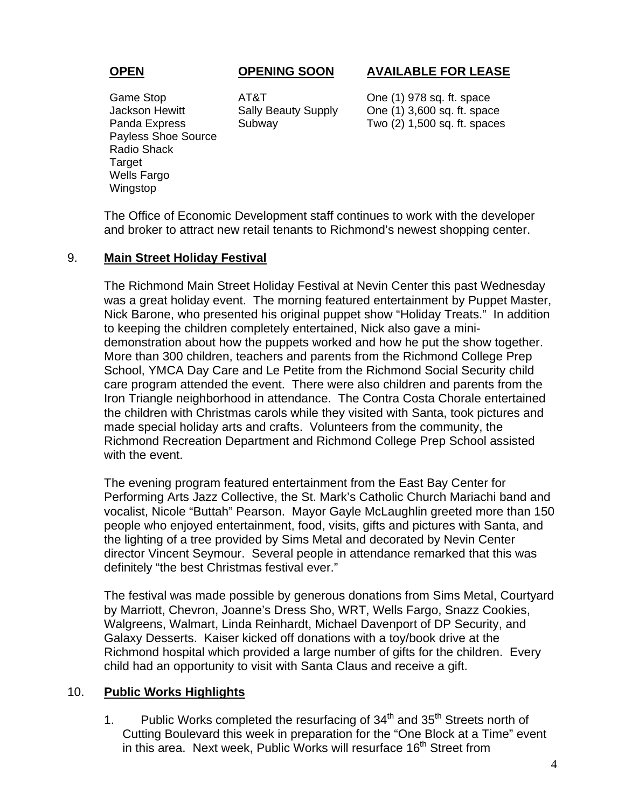# **OPEN OPENING SOON AVAILABLE FOR LEASE**

Payless Shoe Source Radio Shack **Target** Wells Fargo Wingstop

Game Stop **AT&T** One (1) 978 sq. ft. space Jackson Hewitt Sally Beauty Supply One (1) 3,600 sq. ft. space Panda Express Subway Two (2) 1,500 sq. ft. spaces

The Office of Economic Development staff continues to work with the developer and broker to attract new retail tenants to Richmond's newest shopping center.

### 9. **Main Street Holiday Festival**

The Richmond Main Street Holiday Festival at Nevin Center this past Wednesday was a great holiday event. The morning featured entertainment by Puppet Master, Nick Barone, who presented his original puppet show "Holiday Treats." In addition to keeping the children completely entertained, Nick also gave a minidemonstration about how the puppets worked and how he put the show together. More than 300 children, teachers and parents from the Richmond College Prep School, YMCA Day Care and Le Petite from the Richmond Social Security child care program attended the event. There were also children and parents from the Iron Triangle neighborhood in attendance. The Contra Costa Chorale entertained the children with Christmas carols while they visited with Santa, took pictures and made special holiday arts and crafts. Volunteers from the community, the Richmond Recreation Department and Richmond College Prep School assisted with the event.

The evening program featured entertainment from the East Bay Center for Performing Arts Jazz Collective, the St. Mark's Catholic Church Mariachi band and vocalist, Nicole "Buttah" Pearson. Mayor Gayle McLaughlin greeted more than 150 people who enjoyed entertainment, food, visits, gifts and pictures with Santa, and the lighting of a tree provided by Sims Metal and decorated by Nevin Center director Vincent Seymour. Several people in attendance remarked that this was definitely "the best Christmas festival ever."

The festival was made possible by generous donations from Sims Metal, Courtyard by Marriott, Chevron, Joanne's Dress Sho, WRT, Wells Fargo, Snazz Cookies, Walgreens, Walmart, Linda Reinhardt, Michael Davenport of DP Security, and Galaxy Desserts. Kaiser kicked off donations with a toy/book drive at the Richmond hospital which provided a large number of gifts for the children. Every child had an opportunity to visit with Santa Claus and receive a gift.

### 10. **Public Works Highlights**

1. Public Works completed the resurfacing of  $34<sup>th</sup>$  and  $35<sup>th</sup>$  Streets north of Cutting Boulevard this week in preparation for the "One Block at a Time" event in this area. Next week, Public Works will resurface 16<sup>th</sup> Street from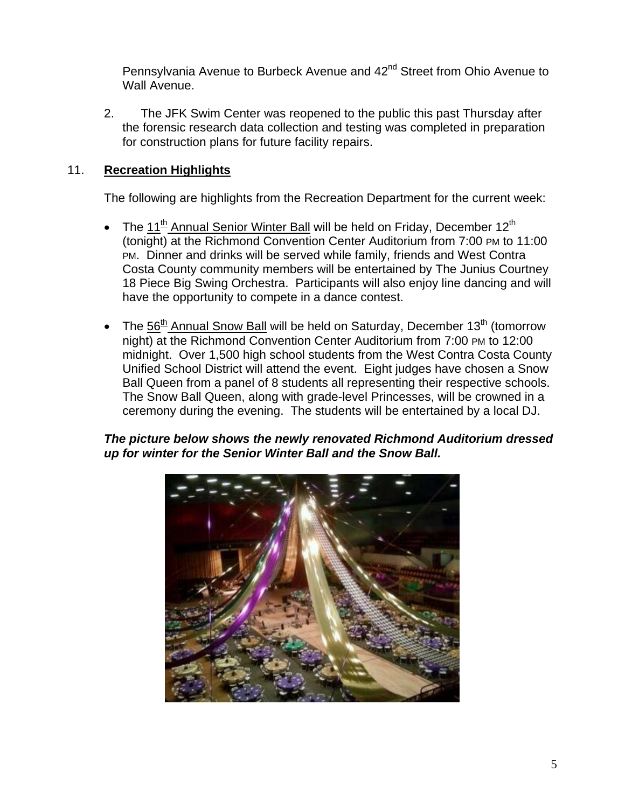Pennsylvania Avenue to Burbeck Avenue and 42<sup>nd</sup> Street from Ohio Avenue to Wall Avenue.

2. The JFK Swim Center was reopened to the public this past Thursday after the forensic research data collection and testing was completed in preparation for construction plans for future facility repairs.

# 11. **Recreation Highlights**

The following are highlights from the Recreation Department for the current week:

- The 11<sup>th</sup> Annual Senior Winter Ball will be held on Friday, December 12<sup>th</sup> (tonight) at the Richmond Convention Center Auditorium from 7:00 PM to 11:00 PM. Dinner and drinks will be served while family, friends and West Contra Costa County community members will be entertained by The Junius Courtney 18 Piece Big Swing Orchestra. Participants will also enjoy line dancing and will have the opportunity to compete in a dance contest.
- The  $56<sup>th</sup>$  Annual Snow Ball will be held on Saturday, December 13<sup>th</sup> (tomorrow night) at the Richmond Convention Center Auditorium from 7:00 PM to 12:00 midnight. Over 1,500 high school students from the West Contra Costa County Unified School District will attend the event. Eight judges have chosen a Snow Ball Queen from a panel of 8 students all representing their respective schools. The Snow Ball Queen, along with grade-level Princesses, will be crowned in a ceremony during the evening. The students will be entertained by a local DJ.

# *The picture below shows the newly renovated Richmond Auditorium dressed up for winter for the Senior Winter Ball and the Snow Ball.*

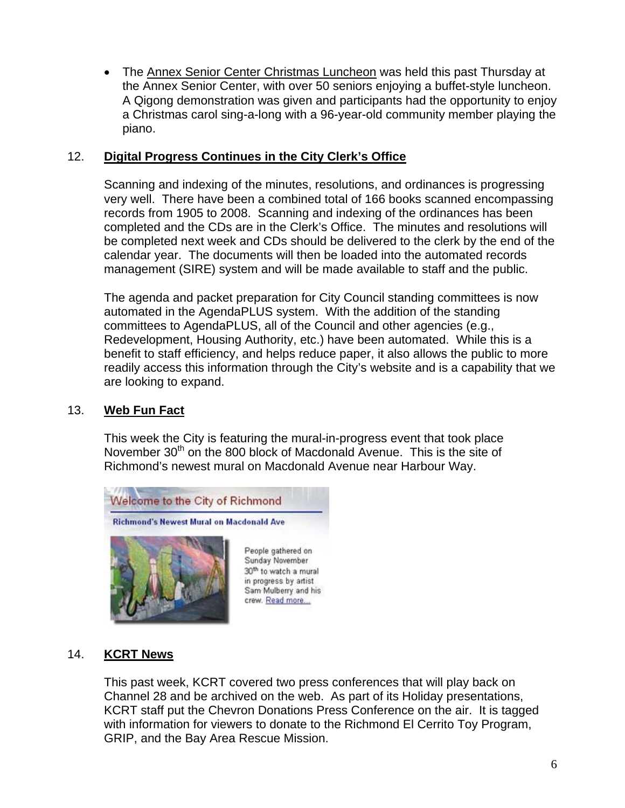• The Annex Senior Center Christmas Luncheon was held this past Thursday at the Annex Senior Center, with over 50 seniors enjoying a buffet-style luncheon. A Qigong demonstration was given and participants had the opportunity to enjoy a Christmas carol sing-a-long with a 96-year-old community member playing the piano.

# 12. **Digital Progress Continues in the City Clerk's Office**

Scanning and indexing of the minutes, resolutions, and ordinances is progressing very well. There have been a combined total of 166 books scanned encompassing records from 1905 to 2008. Scanning and indexing of the ordinances has been completed and the CDs are in the Clerk's Office. The minutes and resolutions will be completed next week and CDs should be delivered to the clerk by the end of the calendar year. The documents will then be loaded into the automated records management (SIRE) system and will be made available to staff and the public.

The agenda and packet preparation for City Council standing committees is now automated in the AgendaPLUS system. With the addition of the standing committees to AgendaPLUS, all of the Council and other agencies (e.g., Redevelopment, Housing Authority, etc.) have been automated. While this is a benefit to staff efficiency, and helps reduce paper, it also allows the public to more readily access this information through the City's website and is a capability that we are looking to expand.

## 13. **Web Fun Fact**

This week the City is featuring the mural-in-progress event that took place November 30<sup>th</sup> on the 800 block of Macdonald Avenue. This is the site of Richmond's newest mural on Macdonald Avenue near Harbour Way.



## 14. **KCRT News**

This past week, KCRT covered two press conferences that will play back on Channel 28 and be archived on the web. As part of its Holiday presentations, KCRT staff put the Chevron Donations Press Conference on the air. It is tagged with information for viewers to donate to the Richmond El Cerrito Toy Program, GRIP, and the Bay Area Rescue Mission.